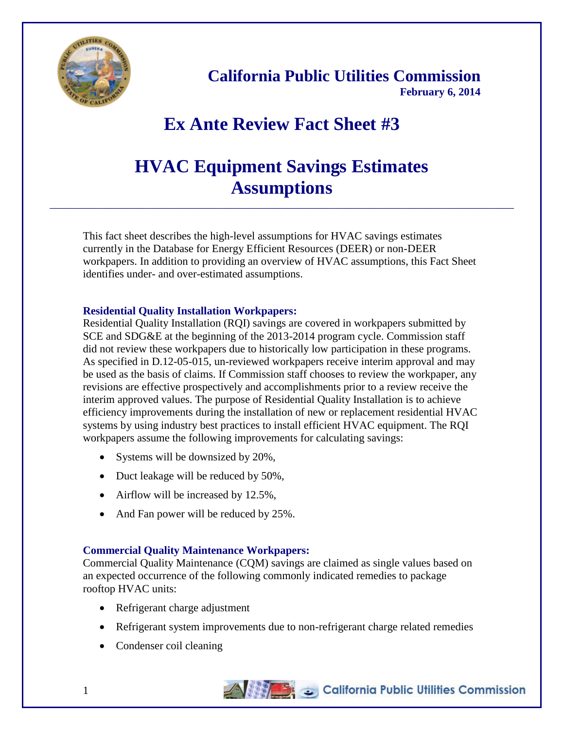

**California Public Utilities Commission February 6, 2014**

# **Ex Ante Review Fact Sheet #3**

# **HVAC Equipment Savings Estimates Assumptions**

\_\_\_\_\_\_\_\_\_\_\_\_\_\_\_\_\_\_\_\_\_\_\_\_\_\_\_\_\_\_\_\_\_\_\_\_\_\_\_\_\_\_\_\_\_\_\_\_\_\_\_\_\_\_\_\_\_\_\_\_\_\_\_\_\_\_\_\_\_\_\_\_\_\_\_\_\_\_\_\_\_\_\_\_

This fact sheet describes the high-level assumptions for HVAC savings estimates currently in the Database for Energy Efficient Resources (DEER) or non-DEER workpapers. In addition to providing an overview of HVAC assumptions, this Fact Sheet identifies under- and over-estimated assumptions.

### **Residential Quality Installation Workpapers:**

Residential Quality Installation (RQI) savings are covered in workpapers submitted by SCE and SDG&E at the beginning of the 2013-2014 program cycle. Commission staff did not review these workpapers due to historically low participation in these programs. As specified in D.12-05-015, un-reviewed workpapers receive interim approval and may be used as the basis of claims. If Commission staff chooses to review the workpaper, any revisions are effective prospectively and accomplishments prior to a review receive the interim approved values. The purpose of Residential Quality Installation is to achieve efficiency improvements during the installation of new or replacement residential HVAC systems by using industry best practices to install efficient HVAC equipment. The RQI workpapers assume the following improvements for calculating savings:

- Systems will be downsized by  $20\%$ .
- Duct leakage will be reduced by 50%,
- Airflow will be increased by 12.5%,
- And Fan power will be reduced by 25%.

#### **Commercial Quality Maintenance Workpapers:**

Commercial Quality Maintenance (CQM) savings are claimed as single values based on an expected occurrence of the following commonly indicated remedies to package rooftop HVAC units:

- Refrigerant charge adjustment
- Refrigerant system improvements due to non-refrigerant charge related remedies
- Condenser coil cleaning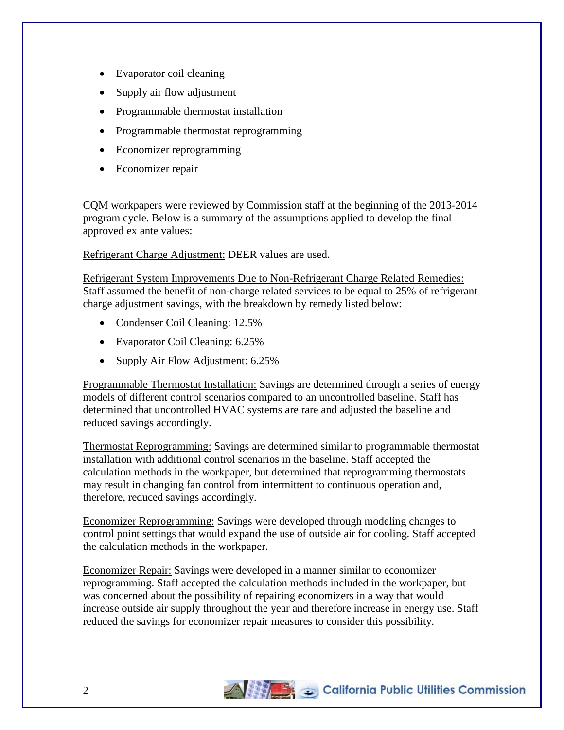- Evaporator coil cleaning
- Supply air flow adjustment
- Programmable thermostat installation
- Programmable thermostat reprogramming
- Economizer reprogramming
- Economizer repair

CQM workpapers were reviewed by Commission staff at the beginning of the 2013-2014 program cycle. Below is a summary of the assumptions applied to develop the final approved ex ante values:

Refrigerant Charge Adjustment: DEER values are used.

Refrigerant System Improvements Due to Non-Refrigerant Charge Related Remedies: Staff assumed the benefit of non-charge related services to be equal to 25% of refrigerant charge adjustment savings, with the breakdown by remedy listed below:

- Condenser Coil Cleaning: 12.5%
- Evaporator Coil Cleaning: 6.25%
- Supply Air Flow Adjustment: 6.25%

Programmable Thermostat Installation: Savings are determined through a series of energy models of different control scenarios compared to an uncontrolled baseline. Staff has determined that uncontrolled HVAC systems are rare and adjusted the baseline and reduced savings accordingly.

Thermostat Reprogramming: Savings are determined similar to programmable thermostat installation with additional control scenarios in the baseline. Staff accepted the calculation methods in the workpaper, but determined that reprogramming thermostats may result in changing fan control from intermittent to continuous operation and, therefore, reduced savings accordingly.

Economizer Reprogramming: Savings were developed through modeling changes to control point settings that would expand the use of outside air for cooling. Staff accepted the calculation methods in the workpaper.

Economizer Repair: Savings were developed in a manner similar to economizer reprogramming. Staff accepted the calculation methods included in the workpaper, but was concerned about the possibility of repairing economizers in a way that would increase outside air supply throughout the year and therefore increase in energy use. Staff reduced the savings for economizer repair measures to consider this possibility.

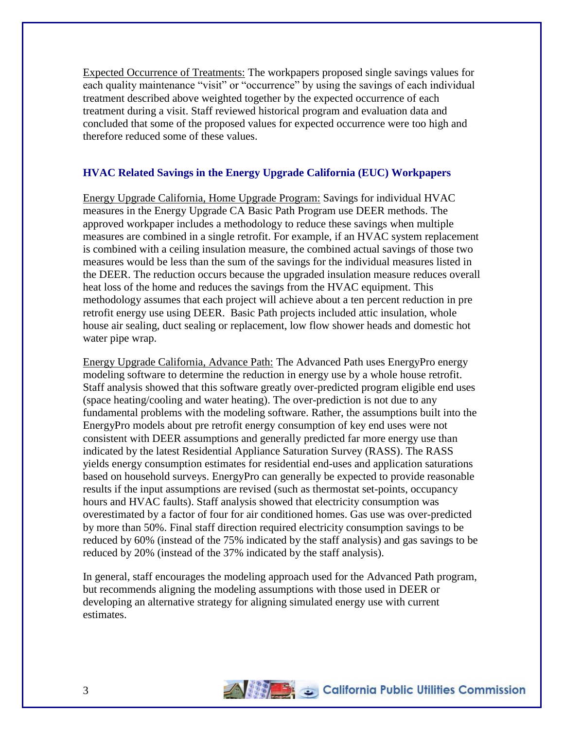Expected Occurrence of Treatments: The workpapers proposed single savings values for each quality maintenance "visit" or "occurrence" by using the savings of each individual treatment described above weighted together by the expected occurrence of each treatment during a visit. Staff reviewed historical program and evaluation data and concluded that some of the proposed values for expected occurrence were too high and therefore reduced some of these values.

### **HVAC Related Savings in the Energy Upgrade California (EUC) Workpapers**

Energy Upgrade California, Home Upgrade Program: Savings for individual HVAC measures in the Energy Upgrade CA Basic Path Program use DEER methods. The approved workpaper includes a methodology to reduce these savings when multiple measures are combined in a single retrofit. For example, if an HVAC system replacement is combined with a ceiling insulation measure, the combined actual savings of those two measures would be less than the sum of the savings for the individual measures listed in the DEER. The reduction occurs because the upgraded insulation measure reduces overall heat loss of the home and reduces the savings from the HVAC equipment. This methodology assumes that each project will achieve about a ten percent reduction in pre retrofit energy use using DEER. Basic Path projects included attic insulation, whole house air sealing, duct sealing or replacement, low flow shower heads and domestic hot water pipe wrap.

Energy Upgrade California, Advance Path: The Advanced Path uses EnergyPro energy modeling software to determine the reduction in energy use by a whole house retrofit. Staff analysis showed that this software greatly over-predicted program eligible end uses (space heating/cooling and water heating). The over-prediction is not due to any fundamental problems with the modeling software. Rather, the assumptions built into the EnergyPro models about pre retrofit energy consumption of key end uses were not consistent with DEER assumptions and generally predicted far more energy use than indicated by the latest Residential Appliance Saturation Survey (RASS). The RASS yields energy consumption estimates for residential end-uses and application saturations based on household surveys. EnergyPro can generally be expected to provide reasonable results if the input assumptions are revised (such as thermostat set-points, occupancy hours and HVAC faults). Staff analysis showed that electricity consumption was overestimated by a factor of four for air conditioned homes. Gas use was over-predicted by more than 50%. Final staff direction required electricity consumption savings to be reduced by 60% (instead of the 75% indicated by the staff analysis) and gas savings to be reduced by 20% (instead of the 37% indicated by the staff analysis).

In general, staff encourages the modeling approach used for the Advanced Path program, but recommends aligning the modeling assumptions with those used in DEER or developing an alternative strategy for aligning simulated energy use with current estimates.

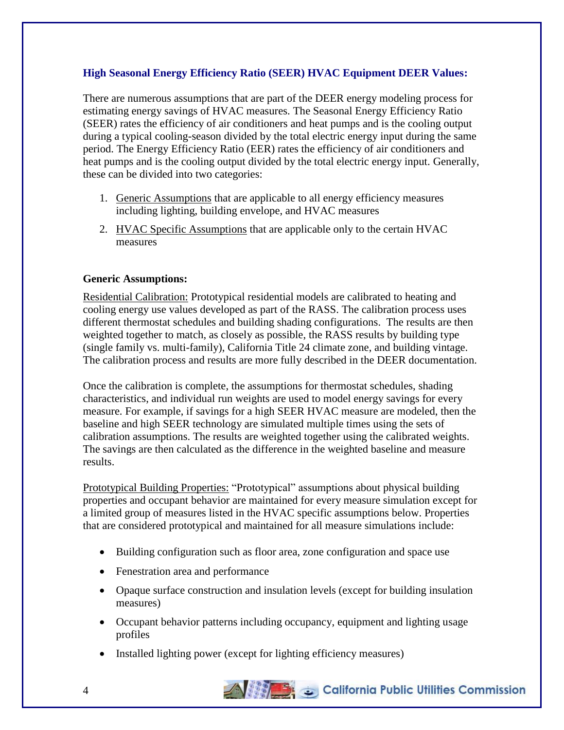### **High Seasonal Energy Efficiency Ratio (SEER) HVAC Equipment DEER Values:**

There are numerous assumptions that are part of the DEER energy modeling process for estimating energy savings of HVAC measures. The Seasonal Energy Efficiency Ratio (SEER) rates the efficiency of air conditioners and heat pumps and is the cooling output during a typical cooling-season divided by the total electric energy input during the same period. The Energy Efficiency Ratio (EER) rates the efficiency of air conditioners and heat pumps and is the cooling output divided by the total electric energy input. Generally, these can be divided into two categories:

- 1. Generic Assumptions that are applicable to all energy efficiency measures including lighting, building envelope, and HVAC measures
- 2. HVAC Specific Assumptions that are applicable only to the certain HVAC measures

#### **Generic Assumptions:**

Residential Calibration: Prototypical residential models are calibrated to heating and cooling energy use values developed as part of the RASS. The calibration process uses different thermostat schedules and building shading configurations. The results are then weighted together to match, as closely as possible, the RASS results by building type (single family vs. multi-family), California Title 24 climate zone, and building vintage. The calibration process and results are more fully described in the DEER documentation.

Once the calibration is complete, the assumptions for thermostat schedules, shading characteristics, and individual run weights are used to model energy savings for every measure. For example, if savings for a high SEER HVAC measure are modeled, then the baseline and high SEER technology are simulated multiple times using the sets of calibration assumptions. The results are weighted together using the calibrated weights. The savings are then calculated as the difference in the weighted baseline and measure results.

Prototypical Building Properties: "Prototypical" assumptions about physical building properties and occupant behavior are maintained for every measure simulation except for a limited group of measures listed in the HVAC specific assumptions below. Properties that are considered prototypical and maintained for all measure simulations include:

- Building configuration such as floor area, zone configuration and space use
- Fenestration area and performance
- Opaque surface construction and insulation levels (except for building insulation measures)
- Occupant behavior patterns including occupancy, equipment and lighting usage profiles
- Installed lighting power (except for lighting efficiency measures)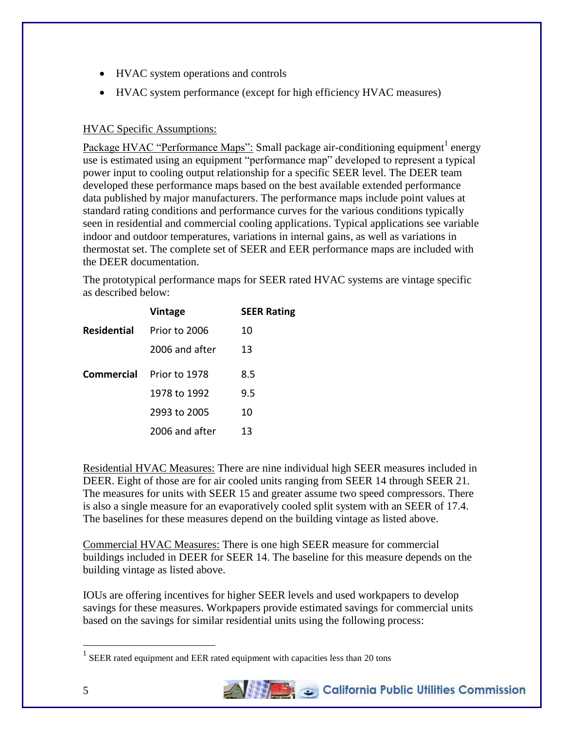- HVAC system operations and controls
- HVAC system performance (except for high efficiency HVAC measures)

## HVAC Specific Assumptions:

Package HVAC "Performance Maps": Small package air-conditioning equipment<sup>1</sup> energy use is estimated using an equipment "performance map" developed to represent a typical power input to cooling output relationship for a specific SEER level. The DEER team developed these performance maps based on the best available extended performance data published by major manufacturers. The performance maps include point values at standard rating conditions and performance curves for the various conditions typically seen in residential and commercial cooling applications. Typical applications see variable indoor and outdoor temperatures, variations in internal gains, as well as variations in thermostat set. The complete set of SEER and EER performance maps are included with the DEER documentation.

The prototypical performance maps for SEER rated HVAC systems are vintage specific as described below:

|                    | <b>Vintage</b> | <b>SEER Rating</b> |
|--------------------|----------------|--------------------|
| <b>Residential</b> | Prior to 2006  | 10                 |
|                    | 2006 and after | 13                 |
| Commercial         | Prior to 1978  | 8.5                |
|                    | 1978 to 1992   | 9.5                |
|                    | 2993 to 2005   | 10                 |
|                    | 2006 and after | 13                 |

Residential HVAC Measures: There are nine individual high SEER measures included in DEER. Eight of those are for air cooled units ranging from SEER 14 through SEER 21. The measures for units with SEER 15 and greater assume two speed compressors. There is also a single measure for an evaporatively cooled split system with an SEER of 17.4. The baselines for these measures depend on the building vintage as listed above.

Commercial HVAC Measures: There is one high SEER measure for commercial buildings included in DEER for SEER 14. The baseline for this measure depends on the building vintage as listed above.

IOUs are offering incentives for higher SEER levels and used workpapers to develop savings for these measures. Workpapers provide estimated savings for commercial units based on the savings for similar residential units using the following process:

 $1$  SEER rated equipment and EER rated equipment with capacities less than 20 tons



 $\overline{a}$